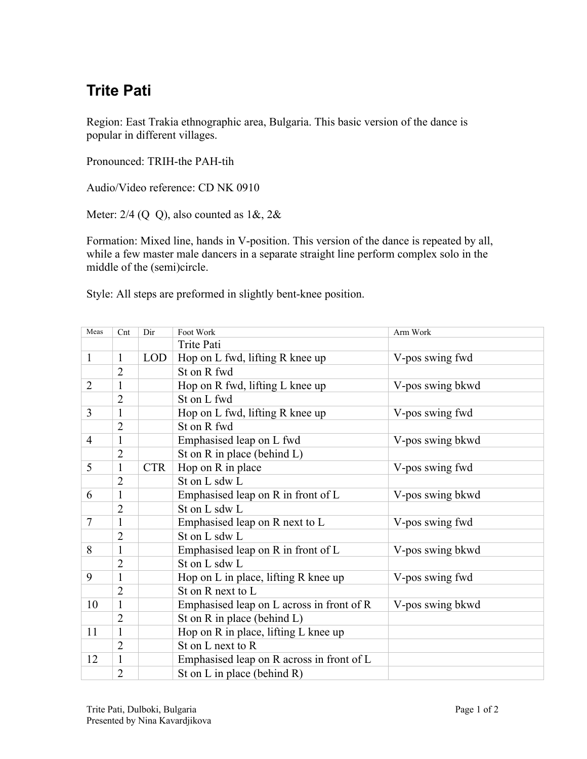## **Trite Pati**

Region: East Trakia ethnographic area, Bulgaria. This basic version of the dance is popular in different villages.

Pronounced: TRIH-the PAH-tih

Audio/Video reference: CD NK 0910

Meter:  $2/4$  (Q Q), also counted as  $1\&, 2\&$ 

Formation: Mixed line, hands in V-position. This version of the dance is repeated by all, while a few master male dancers in a separate straight line perform complex solo in the middle of the (semi)circle.

Style: All steps are preformed in slightly bent-knee position.

| Meas           | Cnt            | Dir        | Foot Work                                 | Arm Work         |  |
|----------------|----------------|------------|-------------------------------------------|------------------|--|
|                |                |            | Trite Pati                                |                  |  |
| $\mathbf{1}$   | $\mathbf{1}$   | LOD        | Hop on L fwd, lifting R knee up           | V-pos swing fwd  |  |
|                | $\overline{2}$ |            | St on R fwd                               |                  |  |
| $\overline{2}$ | $\mathbf{1}$   |            | Hop on R fwd, lifting L knee up           | V-pos swing bkwd |  |
|                | $\overline{2}$ |            | St on L fwd                               |                  |  |
| 3              | $\mathbf{1}$   |            | Hop on L fwd, lifting R knee up           | V-pos swing fwd  |  |
|                | $\overline{2}$ |            | St on R fwd                               |                  |  |
| 4              | $\mathbf{1}$   |            | Emphasised leap on L fwd                  | V-pos swing bkwd |  |
|                | $\overline{2}$ |            | St on $R$ in place (behind $L$ )          |                  |  |
| 5              | $\mathbf{1}$   | <b>CTR</b> | Hop on R in place                         | V-pos swing fwd  |  |
|                | $\overline{2}$ |            | St on L sdw L                             |                  |  |
| 6              | $\mathbf{1}$   |            | Emphasised leap on R in front of L        | V-pos swing bkwd |  |
|                | $\overline{2}$ |            | St on L sdw L                             |                  |  |
| $\tau$         | $\mathbf{1}$   |            | Emphasised leap on R next to L            | V-pos swing fwd  |  |
|                | $\overline{2}$ |            | St on L sdw L                             |                  |  |
| 8              | $\mathbf{1}$   |            | Emphasised leap on R in front of L        | V-pos swing bkwd |  |
|                | $\overline{2}$ |            | St on L sdw L                             |                  |  |
| 9              | $\mathbf{1}$   |            | Hop on L in place, lifting R knee up      | V-pos swing fwd  |  |
|                | $\overline{2}$ |            | St on R next to L                         |                  |  |
| 10             | $\mathbf{1}$   |            | Emphasised leap on L across in front of R | V-pos swing bkwd |  |
|                | $\overline{2}$ |            | St on R in place (behind L)               |                  |  |
| 11             | $\mathbf{1}$   |            | Hop on R in place, lifting L knee up      |                  |  |
|                | $\overline{2}$ |            | St on L next to R                         |                  |  |
| 12             | $\mathbf{1}$   |            | Emphasised leap on R across in front of L |                  |  |
|                | $\overline{2}$ |            | St on L in place (behind $R$ )            |                  |  |